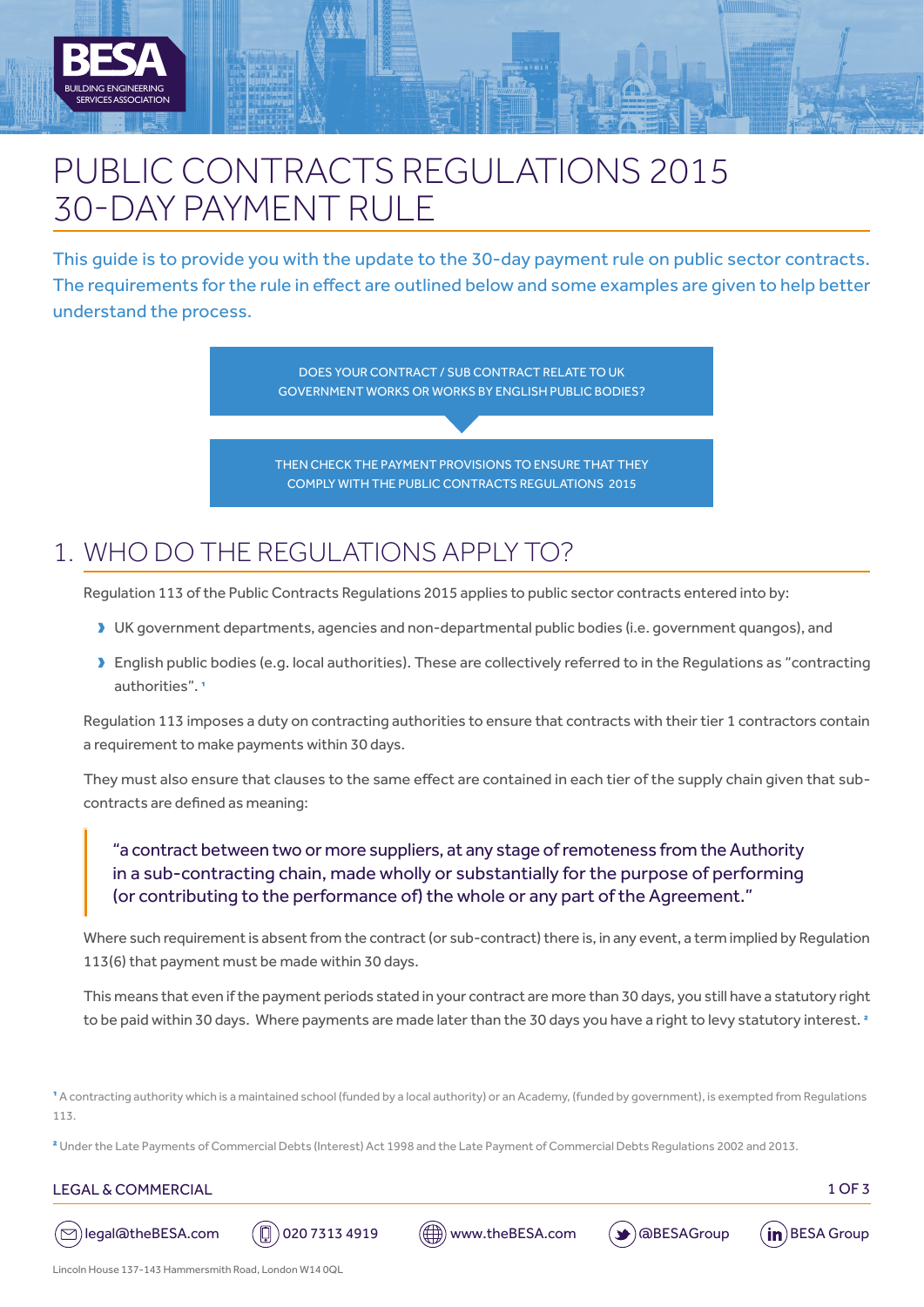

# PUBLIC CONTRACTS REGULATIONS 2015 30-DAY PAYMENT RULE

This guide is to provide you with the update to the 30-day payment rule on public sector contracts. The requirements for the rule in effect are outlined below and some examples are given to help better understand the process.



# 1. WHO DO THE REGULATIONS APPLY TO?

Regulation 113 of the Public Contracts Regulations 2015 applies to public sector contracts entered into by:

- DK government departments, agencies and non-departmental public bodies (i.e. government quangos), and
- Dublish public bodies (e.g. local authorities). These are collectively referred to in the Regulations as "contracting authorities".<sup>1</sup>

Regulation 113 imposes a duty on contracting authorities to ensure that contracts with their tier 1 contractors contain a requirement to make payments within 30 days.

They must also ensure that clauses to the same effect are contained in each tier of the supply chain given that subcontracts are defined as meaning:

### "a contract between two or more suppliers, at any stage of remoteness from the Authority in a sub-contracting chain, made wholly or substantially for the purpose of performing (or contributing to the performance of) the whole or any part of the Agreement."

Where such requirement is absent from the contract (or sub-contract) there is, in any event, a term implied by Regulation 113(6) that payment must be made within 30 days.

This means that even if the payment periods stated in your contract are more than 30 days, you still have a statutory right to be paid within 30 days. Where payments are made later than the 30 days you have a right to levy statutory interest.<sup>2</sup>

1 A contracting authority which is a maintained school (funded by a local authority) or an Academy, (funded by government), is exempted from Regulations 113.

<sup>2</sup> Under the Late Payments of Commercial Debts (Interest) Act 1998 and the Late Payment of Commercial Debts Requlations 2002 and 2013.

#### LEGAL & COMMERCIAL 1 OF 3



 $\overline{\phantom{a}}$ 









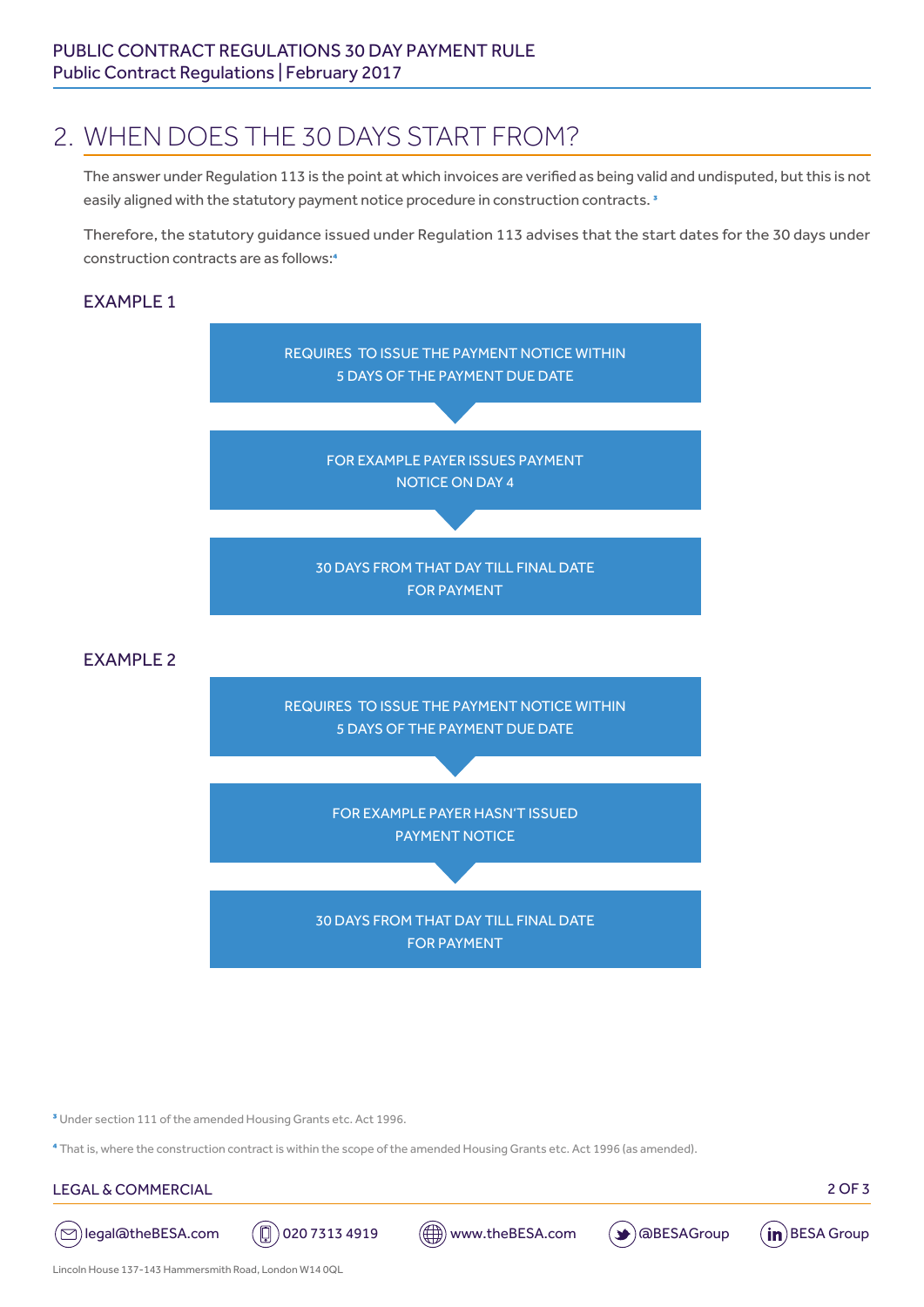## 2. WHEN DOES THE 30 DAYS START FROM?

The answer under Regulation 113 is the point at which invoices are verified as being valid and undisputed, but this is not easily aligned with the statutory payment notice procedure in construction contracts.<sup>3</sup>

Therefore, the statutory guidance issued under Regulation 113 advises that the start dates for the 30 days under construction contracts are as follows:4

### **FXAMPLE 1**



<sup>3</sup> Under section 111 of the amended Housing Grants etc. Act 1996.

4 That is, where the construction contract is within the scope of the amended Housing Grants etc. Act 1996 (as amended).

#### LEGAL & COMMERCIAL 2 OF 3